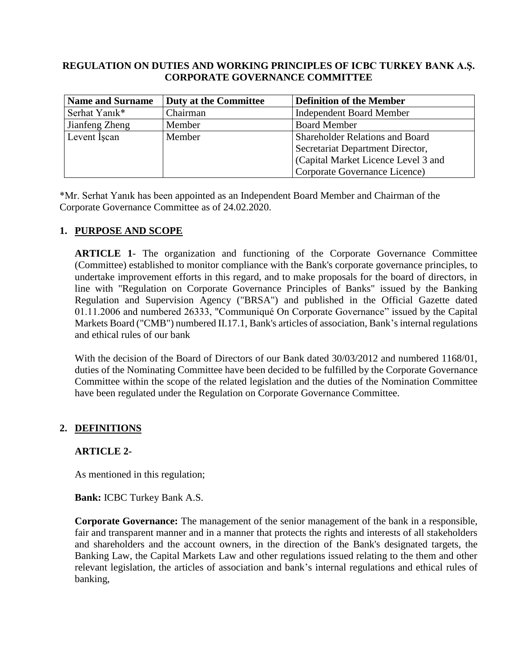#### **REGULATION ON DUTIES AND WORKING PRINCIPLES OF ICBC TURKEY BANK A.Ş. CORPORATE GOVERNANCE COMMITTEE**

| <b>Name and Surname</b> | <b>Duty at the Committee</b> | <b>Definition of the Member</b>        |
|-------------------------|------------------------------|----------------------------------------|
| Serhat Yanık*           | Chairman                     | <b>Independent Board Member</b>        |
| Jianfeng Zheng          | Member                       | <b>Board Member</b>                    |
| Levent Iscan            | Member                       | <b>Shareholder Relations and Board</b> |
|                         |                              | Secretariat Department Director,       |
|                         |                              | (Capital Market Licence Level 3 and    |
|                         |                              | Corporate Governance Licence)          |

\*Mr. Serhat Yanık has been appointed as an Independent Board Member and Chairman of the Corporate Governance Committee as of 24.02.2020.

### **1. PURPOSE AND SCOPE**

**ARTICLE 1**- The organization and functioning of the Corporate Governance Committee (Committee) established to monitor compliance with the Bank's corporate governance principles, to undertake improvement efforts in this regard, and to make proposals for the board of directors, in line with "Regulation on Corporate Governance Principles of Banks" issued by the Banking Regulation and Supervision Agency ("BRSA") and published in the Official Gazette dated 01.11.2006 and numbered 26333, "Communiqué On Corporate Governance" issued by the Capital Markets Board ("CMB") numbered II.17.1, Bank's articles of association, Bank's internal regulations and ethical rules of our bank

With the decision of the Board of Directors of our Bank dated  $30/03/2012$  and numbered  $1168/01$ , duties of the Nominating Committee have been decided to be fulfilled by the Corporate Governance Committee within the scope of the related legislation and the duties of the Nomination Committee have been regulated under the Regulation on Corporate Governance Committee.

### **2. DEFINITIONS**

#### **ARTICLE 2-**

As mentioned in this regulation;

**Bank:** ICBC Turkey Bank A.S.

**Corporate Governance:** The management of the senior management of the bank in a responsible, fair and transparent manner and in a manner that protects the rights and interests of all stakeholders and shareholders and the account owners, in the direction of the Bank's designated targets, the Banking Law, the Capital Markets Law and other regulations issued relating to the them and other relevant legislation, the articles of association and bank's internal regulations and ethical rules of banking,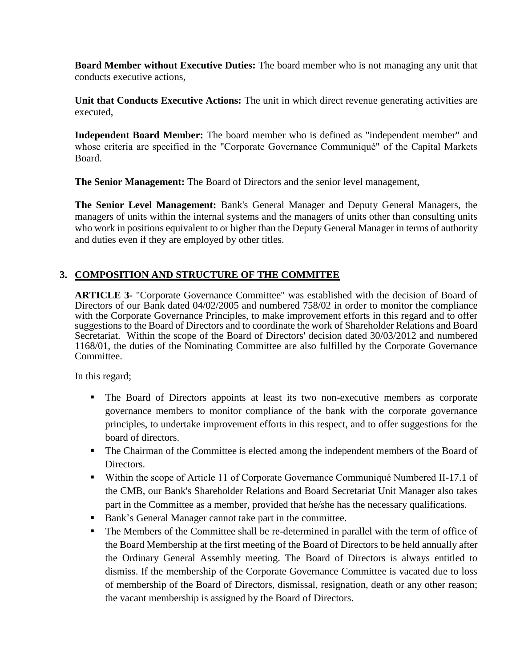**Board Member without Executive Duties:** The board member who is not managing any unit that conducts executive actions,

**Unit that Conducts Executive Actions:** The unit in which direct revenue generating activities are executed,

**Independent Board Member:** The board member who is defined as "independent member" and whose criteria are specified in the "Corporate Governance Communiqué" of the Capital Markets Board.

**The Senior Management:** The Board of Directors and the senior level management,

**The Senior Level Management:** Bank's General Manager and Deputy General Managers, the managers of units within the internal systems and the managers of units other than consulting units who work in positions equivalent to or higher than the Deputy General Manager in terms of authority and duties even if they are employed by other titles.

# **3. COMPOSITION AND STRUCTURE OF THE COMMITEE**

**ARTICLE 3-** "Corporate Governance Committee" was established with the decision of Board of Directors of our Bank dated 04/02/2005 and numbered 758/02 in order to monitor the compliance with the Corporate Governance Principles, to make improvement efforts in this regard and to offer suggestions to the Board of Directors and to coordinate the work of Shareholder Relations and Board Secretariat. Within the scope of the Board of Directors' decision dated 30/03/2012 and numbered 1168/01, the duties of the Nominating Committee are also fulfilled by the Corporate Governance Committee.

In this regard;

- The Board of Directors appoints at least its two non-executive members as corporate governance members to monitor compliance of the bank with the corporate governance principles, to undertake improvement efforts in this respect, and to offer suggestions for the board of directors.
- The Chairman of the Committee is elected among the independent members of the Board of Directors.
- Within the scope of Article 11 of Corporate Governance Communiqué Numbered II-17.1 of the CMB, our Bank's Shareholder Relations and Board Secretariat Unit Manager also takes part in the Committee as a member, provided that he/she has the necessary qualifications.
- Bank's General Manager cannot take part in the committee.
- The Members of the Committee shall be re-determined in parallel with the term of office of the Board Membership at the first meeting of the Board of Directors to be held annually after the Ordinary General Assembly meeting. The Board of Directors is always entitled to dismiss. If the membership of the Corporate Governance Committee is vacated due to loss of membership of the Board of Directors, dismissal, resignation, death or any other reason; the vacant membership is assigned by the Board of Directors.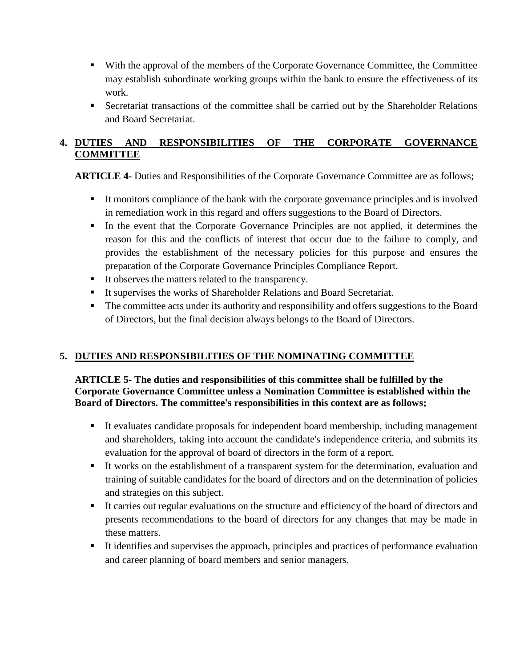- With the approval of the members of the Corporate Governance Committee, the Committee may establish subordinate working groups within the bank to ensure the effectiveness of its work.
- Secretariat transactions of the committee shall be carried out by the Shareholder Relations and Board Secretariat.

# **4. DUTIES AND RESPONSIBILITIES OF THE CORPORATE GOVERNANCE COMMITTEE**

**ARTICLE 4-** Duties and Responsibilities of the Corporate Governance Committee are as follows;

- It monitors compliance of the bank with the corporate governance principles and is involved in remediation work in this regard and offers suggestions to the Board of Directors.
- In the event that the Corporate Governance Principles are not applied, it determines the reason for this and the conflicts of interest that occur due to the failure to comply, and provides the establishment of the necessary policies for this purpose and ensures the preparation of the Corporate Governance Principles Compliance Report.
- It observes the matters related to the transparency.
- It supervises the works of Shareholder Relations and Board Secretariat.
- The committee acts under its authority and responsibility and offers suggestions to the Board of Directors, but the final decision always belongs to the Board of Directors.

# **5. DUTIES AND RESPONSIBILITIES OF THE NOMINATING COMMITTEE**

### **ARTICLE 5- The duties and responsibilities of this committee shall be fulfilled by the Corporate Governance Committee unless a Nomination Committee is established within the Board of Directors. The committee's responsibilities in this context are as follows;**

- It evaluates candidate proposals for independent board membership, including management and shareholders, taking into account the candidate's independence criteria, and submits its evaluation for the approval of board of directors in the form of a report.
- It works on the establishment of a transparent system for the determination, evaluation and training of suitable candidates for the board of directors and on the determination of policies and strategies on this subject.
- It carries out regular evaluations on the structure and efficiency of the board of directors and presents recommendations to the board of directors for any changes that may be made in these matters.
- It identifies and supervises the approach, principles and practices of performance evaluation and career planning of board members and senior managers.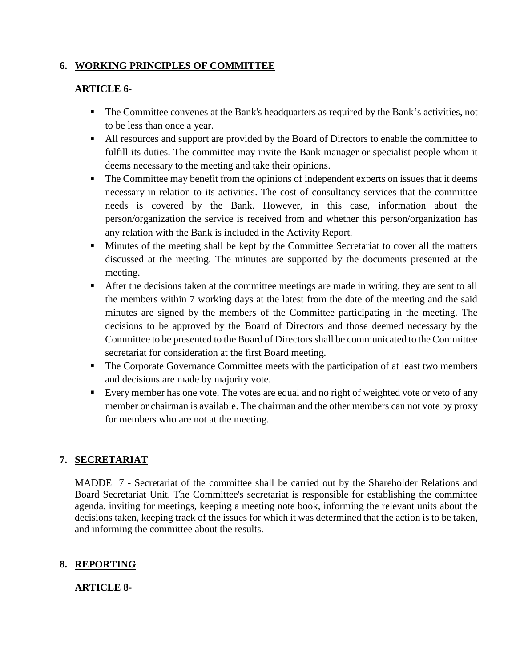# **6. WORKING PRINCIPLES OF COMMITTEE**

#### **ARTICLE 6-**

- The Committee convenes at the Bank's headquarters as required by the Bank's activities, not to be less than once a year.
- All resources and support are provided by the Board of Directors to enable the committee to fulfill its duties. The committee may invite the Bank manager or specialist people whom it deems necessary to the meeting and take their opinions.
- The Committee may benefit from the opinions of independent experts on issues that it deems necessary in relation to its activities. The cost of consultancy services that the committee needs is covered by the Bank. However, in this case, information about the person/organization the service is received from and whether this person/organization has any relation with the Bank is included in the Activity Report.
- **Minutes of the meeting shall be kept by the Committee Secretariat to cover all the matters** discussed at the meeting. The minutes are supported by the documents presented at the meeting.
- After the decisions taken at the committee meetings are made in writing, they are sent to all the members within 7 working days at the latest from the date of the meeting and the said minutes are signed by the members of the Committee participating in the meeting. The decisions to be approved by the Board of Directors and those deemed necessary by the Committee to be presented to the Board of Directors shall be communicated to the Committee secretariat for consideration at the first Board meeting.
- The Corporate Governance Committee meets with the participation of at least two members and decisions are made by majority vote.
- Every member has one vote. The votes are equal and no right of weighted vote or veto of any member or chairman is available. The chairman and the other members can not vote by proxy for members who are not at the meeting.

### **7. SECRETARIAT**

MADDE 7 - Secretariat of the committee shall be carried out by the Shareholder Relations and Board Secretariat Unit. The Committee's secretariat is responsible for establishing the committee agenda, inviting for meetings, keeping a meeting note book, informing the relevant units about the decisions taken, keeping track of the issues for which it was determined that the action is to be taken, and informing the committee about the results.

# **8. REPORTING**

### **ARTICLE 8-**